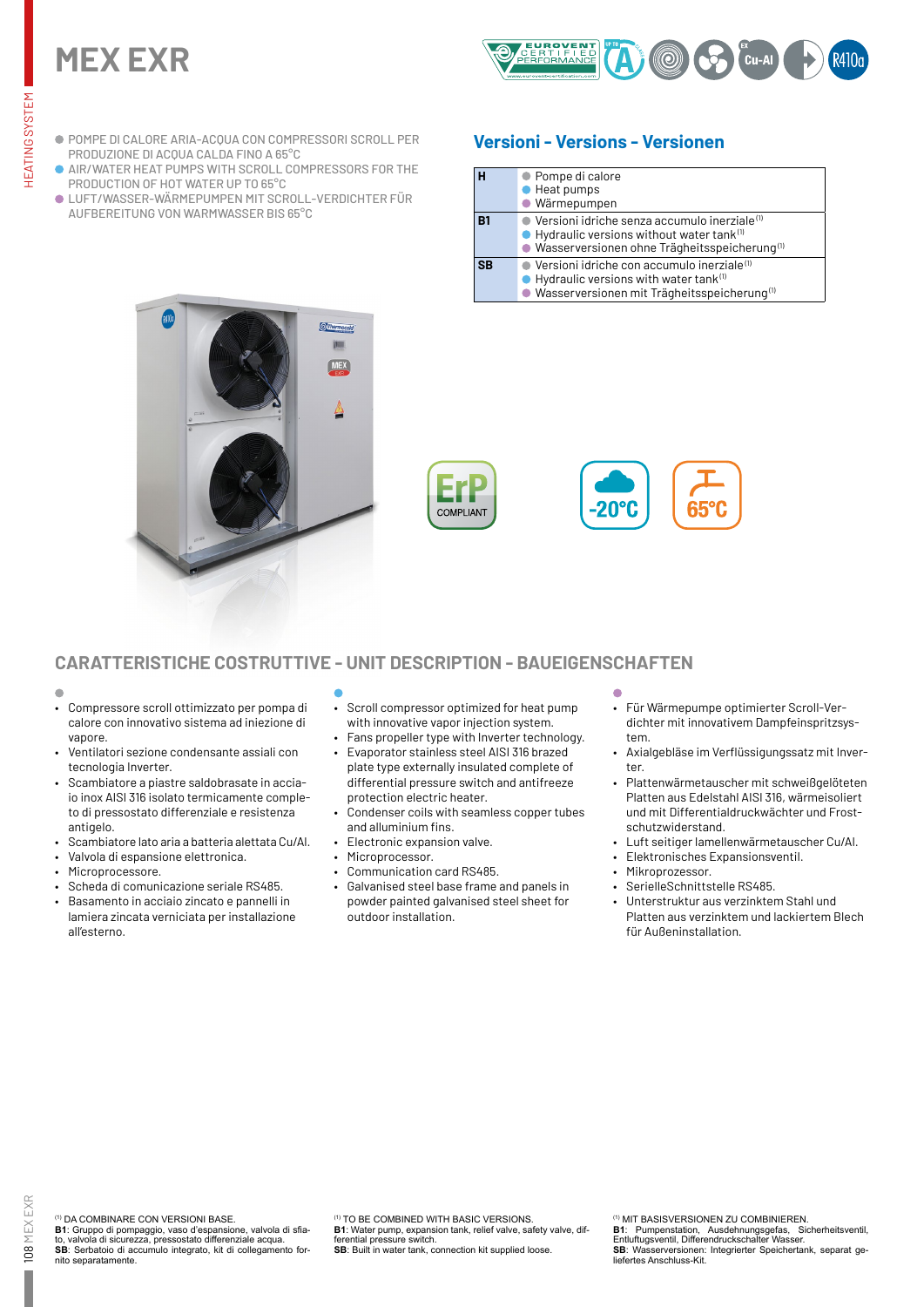# **MEX EXR**



- POMPE DI CALORE ARIA-ACQUA CON COMPRESSORI SCROLL PER PRODUZIONE DI ACQUA CALDA FINO A 65°C
- AIR/WATER HEAT PUMPS WITH SCROLL COMPRESSORS FOR THE PRODUCTION OF HOT WATER UP TO 65°C
- LUFT/WASSER-WÄRMEPUMPEN MIT SCROLL-VERDICHTER FÜR AUFBEREITUNG VON WARMWASSER BIS 65°C

# **Versioni - Versions - Versionen**

| н         | ● Pompe di calore<br>Heat pumps<br>· Wärmepumpen                                                                                                                                                     |
|-----------|------------------------------------------------------------------------------------------------------------------------------------------------------------------------------------------------------|
| R1        | $\bullet$ Versioni idriche senza accumulo inerziale $^{\text{\tiny{(1)}}}$<br>$\bullet$ Hydraulic versions without water tank $^{(1)}$<br>● Wasserversionen ohne Trägheitsspeicherung <sup>(1)</sup> |
| <b>SR</b> | $\bullet$ Versioni idriche con accumulo inerziale <sup>(1)</sup><br>$\bullet$ Hydraulic versions with water tank $^{\text{\tiny{(1)}}}$<br>· Wasserversionen mit Trägheitsspeicherung <sup>(1)</sup> |





## **CARATTERISTICHE COSTRUTTIVE - UNIT DESCRIPTION - BAUEIGENSCHAFTEN**

- 
- Compressore scroll ottimizzato per pompa di calore con innovativo sistema ad iniezione di vapore.
- Ventilatori sezione condensante assiali con tecnologia Inverter.
- Scambiatore a piastre saldobrasate in acciaio inox AISI 316 isolato termicamente completo di pressostato differenziale e resistenza antigelo.
- Scambiatore lato aria a batteria alettata Cu/Al.
- Valvola di espansione elettronica.
- Microprocessore.
- Scheda di comunicazione seriale RS485.
- Basamento in acciaio zincato e pannelli in lamiera zincata verniciata per installazione all'esterno.
- Scroll compressor optimized for heat pump with innovative vapor injection system.
- Fans propeller type with Inverter technology. • Evaporator stainless steel AISI 316 brazed
- plate type externally insulated complete of differential pressure switch and antifreeze protection electric heater.
- Condenser coils with seamless copper tubes and alluminium fins.
- Electronic expansion valve.
- Microprocessor.
- Communication card RS485.
- Galvanised steel base frame and panels in powder painted galvanised steel sheet for outdoor installation.
- Für Wärmepumpe optimierter Scroll-Verdichter mit innovativem Dampfeinspritzsystem.
- Axialgebläse im Verflüssigungssatz mit Inverter.
- Plattenwärmetauscher mit schweißgelöteten Platten aus Edelstahl AISI 316, wärmeisoliert und mit Differentialdruckwächter und Frostschutzwiderstand.
- Luft seitiger lamellenwärmetauscher Cu/Al.
- Elektronisches Expansionsventil.
- Mikroprozessor.
- SerielleSchnittstelle RS485.
- Unterstruktur aus verzinktem Stahl und Platten aus verzinktem und lackiertem Blech für Außeninstallation.

**B1**: Gruppo di pompaggio, vaso d'espansione, valvola di sfiato, valvola di sicurezza, pressostato differenziale acqua. **SB**: Serbatoio di accumulo integrato, kit di collegamento fornito separatamente.

(1) TO BE COMBINED WITH BASIC VERSIONS.

**B1**: Water pump, expansion tank, relief valve, safety valve, differential pressure switch

**SB**: Built in water tank, connection kit supplied loose.

(1) MIT BASISVERSIONEN ZU COMBINIEREN.

**B1**: Pumpenstation, Ausdehnungsgefas, Sicherheitsventil, Entluftugsventil, Differendruckschalter Wasser. **SB**: Wasserversionen: Integrierter Speichertank, separat ge-

liefertes Anschluss-Kit.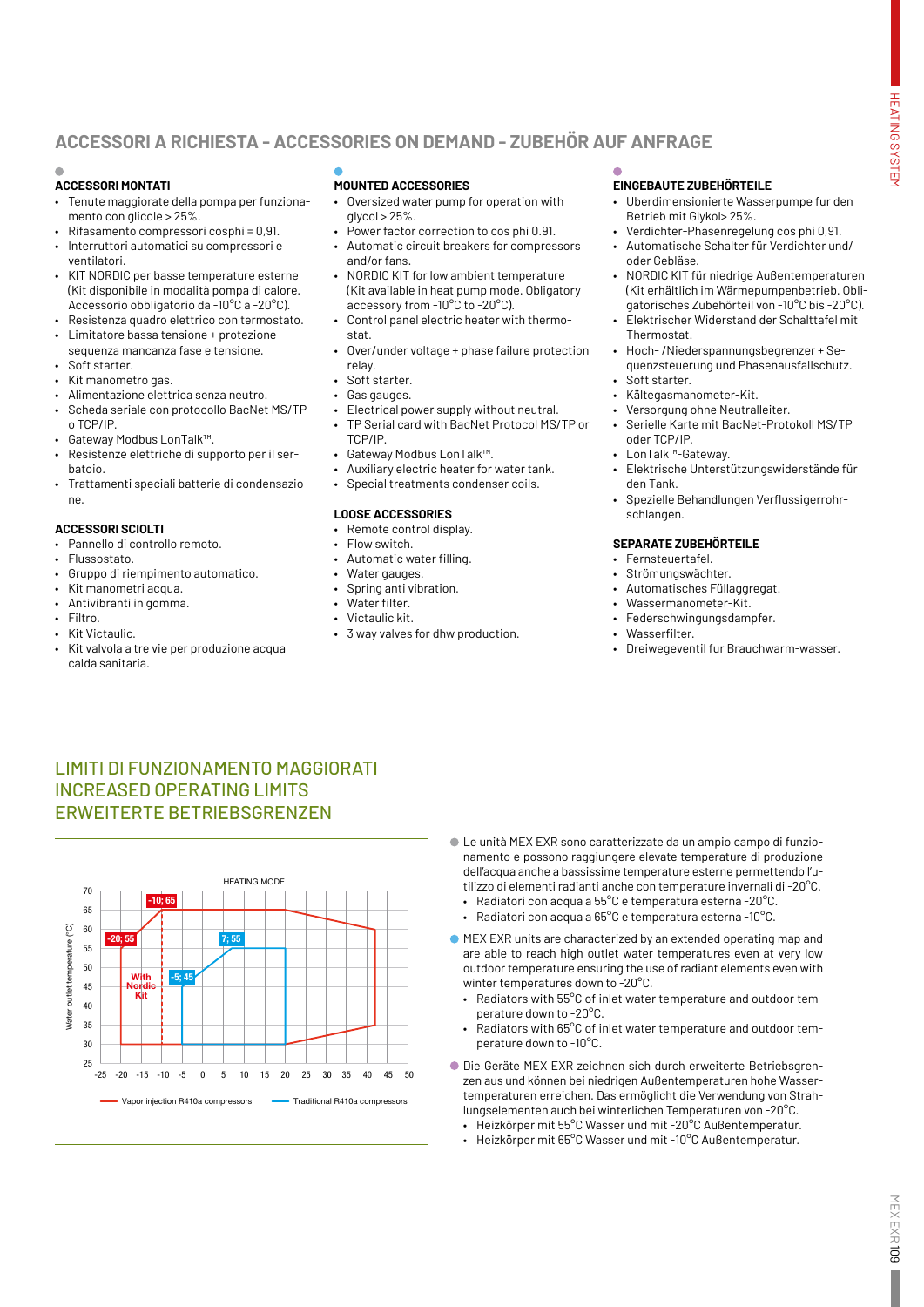# **ACCESSORI A RICHIESTA - ACCESSORIES ON DEMAND - ZUBEHÖR AUF ANFRAGE**

### **ACCESSORI MONTATI**

- Tenute maggiorate della pompa per funzionamento con glicole > 25%.
- Rifasamento compressori cosphi = 0,91.
- Interruttori automatici su compressori e ventilatori.
- KIT NORDIC per basse temperature esterne (Kit disponibile in modalità pompa di calore. Accessorio obbligatorio da -10°C a -20°C).
- Resistenza quadro elettrico con termostato. • Limitatore bassa tensione + protezione
- sequenza mancanza fase e tensione. Soft starter.
- Kit manometro gas.
- Alimentazione elettrica senza neutro.
- Scheda seriale con protocollo BacNet MS/TP o TCP/IP.
- Gateway Modbus LonTalk™.
- Resistenze elettriche di supporto per il serbatoio.
- Trattamenti speciali batterie di condensazione.

#### **ACCESSORI SCIOLTI**

- Pannello di controllo remoto.
- Flussostato.
- Gruppo di riempimento automatico.
- Kit manometri acqua.
- Antivibranti in gomma.
- Filtro.
- Kit Victaulic.
- Kit valvola a tre vie per produzione acqua calda sanitaria.

### **MOUNTED ACCESSORIES**

- Oversized water pump for operation with  $q$ lycol > 25%.
- Power factor correction to cos phi 0.91.
- Automatic circuit breakers for compressors and/or fans.
- NORDIC KIT for low ambient temperature (Kit available in heat pump mode. Obligatory accessory from -10°C to -20°C).
- Control panel electric heater with thermostat.
- Over/under voltage + phase failure protection relay.
- Soft starter.
- Gas gauges.
- Electrical power supply without neutral. • TP Serial card with BacNet Protocol MS/TP or TCP/IP.
- Gateway Modbus LonTalk™.
- Auxiliary electric heater for water tank.
- Special treatments condenser coils.

### **LOOSE ACCESSORIES**

- Remote control display.
- Flow switch.
- Automatic water filling.
- Water gauges.
- Spring anti vibration. • Water filter.
- Victaulic kit.
- 3 way valves for dhw production.

### **EINGEBAUTE ZUBEHÖRTEILE**

- Uberdimensionierte Wasserpumpe fur den Betrieb mit Glykol> 25%.
- Verdichter-Phasenregelung cos phi 0,91.
- Automatische Schalter für Verdichter und/ oder Gebläse.
- NORDIC KIT für niedrige Außentemperaturen (Kit erhältlich im Wärmepumpenbetrieb. Obligatorisches Zubehörteil von -10°C bis -20°C).
- Elektrischer Widerstand der Schalttafel mit **Thermostat.**
- Hoch- /Niederspannungsbegrenzer + Sequenzsteuerung und Phasenausfallschutz.
	- Soft starter.
- Kältegasmanometer-Kit.
- Versorgung ohne Neutralleiter.
- Serielle Karte mit BacNet-Protokoll MS/TP oder TCP/IP.
- LonTalk™-Gateway.
- Elektrische Unterstützungswiderstände für den Tank.
- Spezielle Behandlungen Verflussigerrohrschlangen.

#### **SEPARATE ZUBEHÖRTEILE**

- Fernsteuertafel.
- Strömungswächter.
- Automatisches Füllaggregat.
- Wassermanometer-Kit.
- Federschwingungsdampfer.
- Wasserfilter.
- Dreiwegeventil fur Brauchwarm-wasser.

# LIMITI DI FUNZIONAMENTO MAGGIORATI INCREASED OPERATING LIMITS ERWEITERTE BETRIEBSGRENZEN



- Le unità MEX EXR sono caratterizzate da un ampio campo di funzionamento e possono raggiungere elevate temperature di produzione dell'acqua anche a bassissime temperature esterne permettendo l'utilizzo di elementi radianti anche con temperature invernali di -20°C. • Radiatori con acqua a 55°C e temperatura esterna -20°C.
	- Radiatori con acqua a 65°C e temperatura esterna -10°C.
- MEX EXR units are characterized by an extended operating map and are able to reach high outlet water temperatures even at very low outdoor temperature ensuring the use of radiant elements even with winter temperatures down to -20°C.
	- Radiators with 55°C of inlet water temperature and outdoor temperature down to -20°C.
	- Radiators with 65°C of inlet water temperature and outdoor temperature down to -10°C.
- Die Geräte MEX EXR zeichnen sich durch erweiterte Betriebsgrenzen aus und können bei niedrigen Außentemperaturen hohe Wassertemperaturen erreichen. Das ermöglicht die Verwendung von Strahlungselementen auch bei winterlichen Temperaturen von -20°C.
	- Heizkörper mit 55°C Wasser und mit -20°C Außentemperatur.
	- Heizkörper mit 65°C Wasser und mit -10°C Außentemperatur.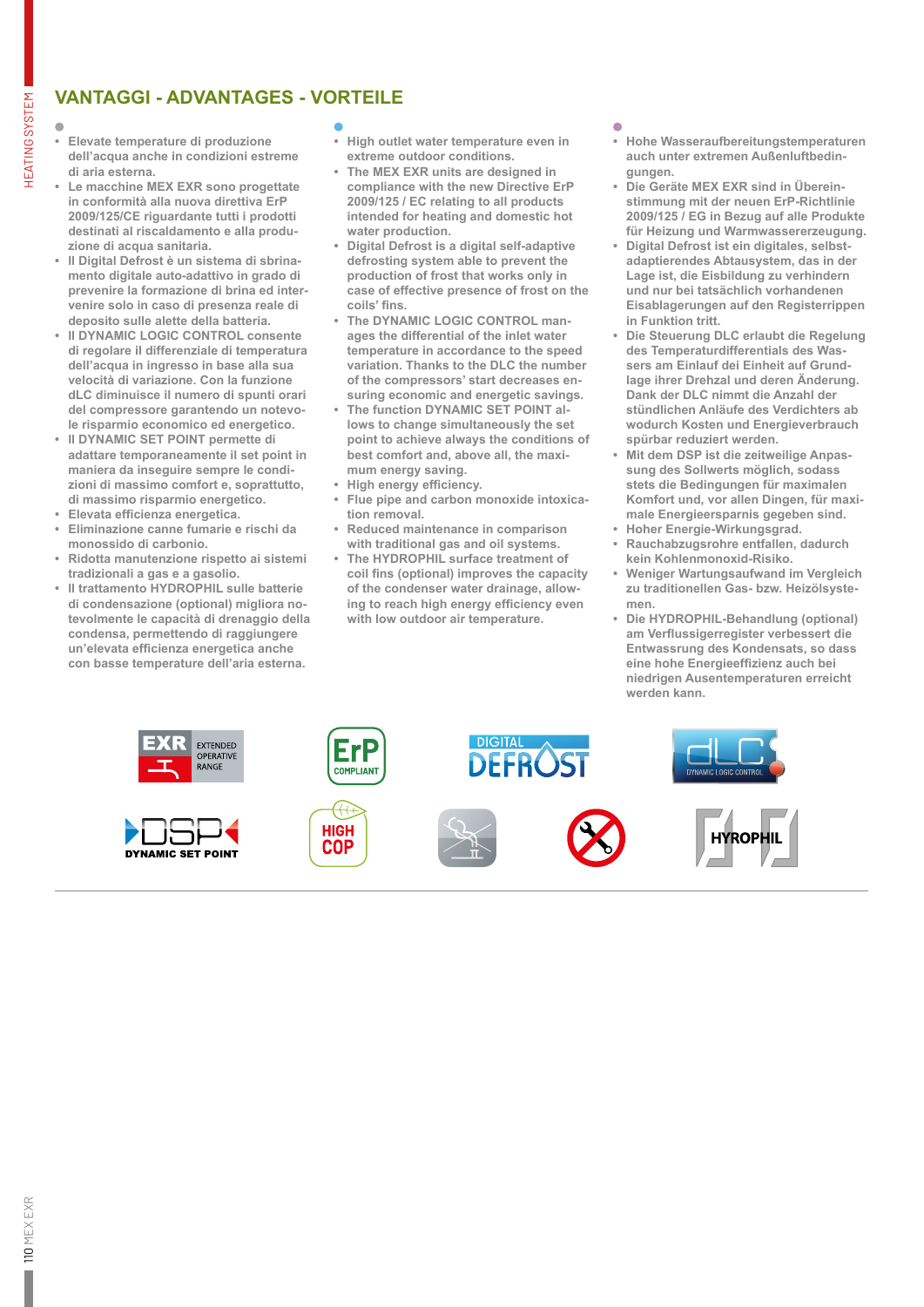# **VANTAGGI - ADVANTAGES - VORTEILE**

HEATING SYSTEM

**HEATING SYSTEM** 

- **• Elevate temperature di produzione dell'acqua anche in condizioni estreme di aria esterna.**
- **• Le macchine MEX EXR sono progettate in conformità alla nuova direttiva ErP 2009/125/CE riguardante tutti i prodotti destinati al riscaldamento e alla produzione di acqua sanitaria.**
- **• Il Digital Defrost è un sistema di sbrinamento digitale auto-adattivo in grado di prevenire la formazione di brina ed intervenire solo in caso di presenza reale di deposito sulle alette della batteria.**
- **• Il DYNAMIC LOGIC CONTROL consente di regolare il differenziale di temperatura dell'acqua in ingresso in base alla sua velocità di variazione. Con la funzione dLC diminuisce il numero di spunti orari del compressore garantendo un notevole risparmio economico ed energetico.**
- **• Il DYNAMIC SET POINT permette di adattare temporaneamente il set point in maniera da inseguire sempre le condizioni di massimo comfort e, soprattutto, di massimo risparmio energetico.**
- **• Elevata efficienza energetica.**
- **• Eliminazione canne fumarie e rischi da monossido di carbonio.**
- **• Ridotta manutenzione rispetto ai sistemi tradizionali a gas e a gasolio.**
- **• Il trattamento HYDROPHIL sulle batterie di condensazione (optional) migliora notevolmente le capacità di drenaggio della condensa, permettendo di raggiungere un'elevata efficienza energetica anche con basse temperature dell'aria esterna.**

- **• High outlet water temperature even in extreme outdoor conditions.**
- **• The MEX EXR units are designed in compliance with the new Directive ErP 2009/125 / EC relating to all products intended for heating and domestic hot water production.**
- **• Digital Defrost is a digital self-adaptive defrosting system able to prevent the production of frost that works only in case of effective presence of frost on the coils' fins.**
- **• The DYNAMIC LOGIC CONTROL manages the differential of the inlet water temperature in accordance to the speed variation. Thanks to the DLC the number of the compressors' start decreases ensuring economic and energetic savings.**
- **• The function DYNAMIC SET POINT allows to change simultaneously the set point to achieve always the conditions of best comfort and, above all, the maximum energy saving.**
- **• High energy efficiency.**
- **• Flue pipe and carbon monoxide intoxication removal.**
- **• Reduced maintenance in comparison with traditional gas and oil systems.**
- **• The HYDROPHIL surface treatment of coil fins (optional) improves the capacity of the condenser water drainage, allowing to reach high energy efficiency even with low outdoor air temperature.**

- **• Hohe Wasseraufbereitungstemperaturen auch unter extremen Außenluftbedingungen.**
- **• Die Geräte MEX EXR sind in Übereinstimmung mit der neuen ErP-Richtlinie 2009/125 / EG in Bezug auf alle Produkte für Heizung und Warmwassererzeugung.**
- **• Digital Defrost ist ein digitales, selbstadaptierendes Abtausystem, das in der Lage ist, die Eisbildung zu verhindern und nur bei tatsächlich vorhandenen Eisablagerungen auf den Registerrippen in Funktion tritt.**
- **• Die Steuerung DLC erlaubt die Regelung des Temperaturdifferentials des Wassers am Einlauf dei Einheit auf Grundlage ihrer Drehzal und deren Änderung. Dank der DLC nimmt die Anzahl der stündlichen Anläufe des Verdichters ab wodurch Kosten und Energieverbrauch spürbar reduziert werden.**
- **• Mit dem DSP ist die zeitweilige Anpassung des Sollwerts möglich, sodass stets die Bedingungen für maximalen Komfort und, vor allen Dingen, für maximale Energieersparnis gegeben sind.**
- **• Hoher Energie-Wirkungsgrad.**
- **• Rauchabzugsrohre entfallen, dadurch kein Kohlenmonoxid-Risiko.**
- **• Weniger Wartungsaufwand im Vergleich zu traditionellen Gas- bzw. Heizölsystemen.**
- **• Die HYDROPHIL-Behandlung (optional) am Verflussigerregister verbessert die Entwassrung des Kondensats, so dass eine hohe Energieeffizienz auch bei niedrigen Ausentemperaturen erreicht werden kann.**